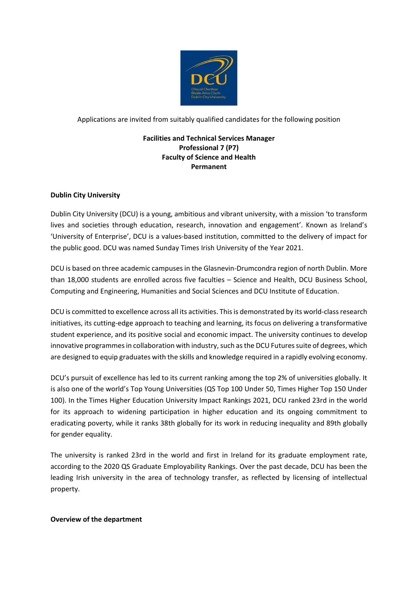

Applications are invited from suitably qualified candidates for the following position

# **Facilities and Technical Services Manager Professional 7 (P7) Faculty of Science and Health Permanent**

## **Dublin City University**

Dublin City University (DCU) is a young, ambitious and vibrant university, with a mission 'to transform lives and societies through education, research, innovation and engagement'. Known as Ireland's 'University of Enterprise', DCU is a values-based institution, committed to the delivery of impact for the public good. DCU was named Sunday Times Irish University of the Year 2021.

DCU is based on three academic campuses in the Glasnevin-Drumcondra region of north Dublin. More than 18,000 students are enrolled across five faculties – Science and Health, DCU Business School, Computing and Engineering, Humanities and Social Sciences and DCU Institute of Education.

DCU is committed to excellence across all its activities. This is demonstrated by its world-class research initiatives, its cutting-edge approach to teaching and learning, its focus on delivering a transformative student experience, and its positive social and economic impact. The university continues to develop innovative programmes in collaboration with industry, such as the DCU Futures suite of degrees, which are designed to equip graduates with the skills and knowledge required in a rapidly evolving economy.

DCU's pursuit of excellence has led to its current ranking among the top 2% of universities globally. It is also one of the world's Top Young Universities (QS Top 100 Under 50, Times Higher Top 150 Under 100). In the Times Higher Education University Impact Rankings 2021, DCU ranked 23rd in the world for its approach to widening participation in higher education and its ongoing commitment to eradicating poverty, while it ranks 38th globally for its work in reducing inequality and 89th globally for gender equality.

The university is ranked 23rd in the world and first in Ireland for its graduate employment rate, according to the 2020 QS Graduate Employability Rankings. Over the past decade, DCU has been the leading Irish university in the area of technology transfer, as reflected by licensing of intellectual property.

#### **Overview of the department**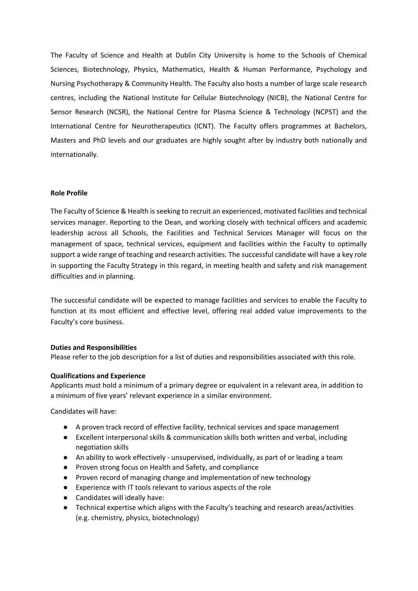The Faculty of Science and Health at Dublin City University is home to the Schools of Chemical Sciences, Biotechnology, Physics, Mathematics, Health & Human Performance, Psychology and Nursing Psychotherapy & Community Health. The Faculty also hosts a number of large scale research centres, including the National Institute for Cellular Biotechnology (NICB), the National Centre for Sensor Research (NCSR), the National Centre for Plasma Science & Technology (NCPST) and the International Centre for Neurotherapeutics (ICNT). The Faculty offers programmes at Bachelors, Masters and PhD levels and our graduates are highly sought after by industry both nationally and internationally.

#### **Role Profile**

The Faculty of Science & Health is seeking to recruit an experienced, motivated facilities and technical services manager. Reporting to the Dean, and working closely with technical officers and academic leadership across all Schools, the Facilities and Technical Services Manager will focus on the management of space, technical services, equipment and facilities within the Faculty to optimally support a wide range of teaching and research activities. The successful candidate will have a key role in supporting the Faculty Strategy in this regard, in meeting health and safety and risk management difficulties and in planning.

The successful candidate will be expected to manage facilities and services to enable the Faculty to function at its most efficient and effective level, offering real added value improvements to the Faculty's core business.

#### **Duties and Responsibilities**

Please refer to the job description for a list of duties and responsibilities associated with this role.

# **Qualifications and Experience**

Applicants must hold a minimum of a primary degree or equivalent in a relevant area, in addition to a minimum of five years' relevant experience in a similar environment.

Candidates will have:

- A proven track record of effective facility, technical services and space management
- Excellent interpersonal skills & communication skills both written and verbal, including negotiation skills
- An ability to work effectively unsupervised, individually, as part of or leading a team
- Proven strong focus on Health and Safety, and compliance
- Proven record of managing change and implementation of new technology
- Experience with IT tools relevant to various aspects of the role
- Candidates will ideally have:
- Technical expertise which aligns with the Faculty's teaching and research areas/activities (e.g. chemistry, physics, biotechnology)